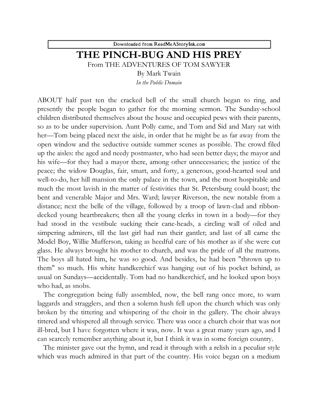Downloaded from ReadMeAStoryInk.com

## **THE PINCH-BUG AND HIS PREY**

From THE ADVENTURES OF TOM SAWYER

By Mark Twain

*In the Public Domain*

ABOUT half past ten the cracked bell of the small church began to ring, and presently the people began to gather for the morning sermon. The Sunday-school children distributed themselves about the house and occupied pews with their parents, so as to be under supervision. Aunt Polly came, and Tom and Sid and Mary sat with her—Tom being placed next the aisle, in order that he might be as far away from the open window and the seductive outside summer scenes as possible. The crowd filed up the aisles: the aged and needy postmaster, who had seen better days; the mayor and his wife—for they had a mayor there, among other unnecessaries; the justice of the peace; the widow Douglas, fair, smart, and forty, a generous, good-hearted soul and well-to-do, her hill mansion the only palace in the town, and the most hospitable and much the most lavish in the matter of festivities that St. Petersburg could boast; the bent and venerable Major and Mrs. Ward; lawyer Riverson, the new notable from a distance; next the belle of the village, followed by a troop of lawn-clad and ribbondecked young heartbreakers; then all the young clerks in town in a body—for they had stood in the vestibule sucking their cane-heads, a circling wall of oiled and simpering admirers, till the last girl had run their gantlet; and last of all came the Model Boy, Willie Mufferson, taking as heedful care of his mother as if she were cut glass. He always brought his mother to church, and was the pride of all the matrons. The boys all hated him, he was so good. And besides, he had been "thrown up to them" so much. His white handkerchief was hanging out of his pocket behind, as usual on Sundays—accidentally. Tom had no handkerchief, and he looked upon boys who had, as snobs.

The congregation being fully assembled, now, the bell rang once more, to warn laggards and stragglers, and then a solemn hush fell upon the church which was only broken by the tittering and whispering of the choir in the gallery. The choir always tittered and whispered all through service. There was once a church choir that was not ill-bred, but I have forgotten where it was, now. It was a great many years ago, and I can scarcely remember anything about it, but I think it was in some foreign country.

The minister gave out the hymn, and read it through with a relish in a peculiar style which was much admired in that part of the country. His voice began on a medium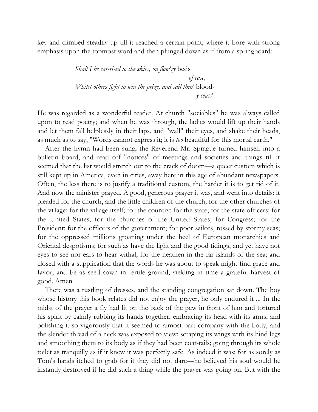key and climbed steadily up till it reached a certain point, where it bore with strong emphasis upon the topmost word and then plunged down as if from a springboard:

> *Shall I be car-ri-ed to the skies, on flow'ry* beds *of ease, Whilst others fight to win the prize, and sail thro'* blood  *y seas?*

He was regarded as a wonderful reader. At church "sociables" he was always called upon to read poetry; and when he was through, the ladies would lift up their hands and let them fall helplessly in their laps, and "wall" their eyes, and shake their heads, as much as to say, "Words cannot express it; it is *too* beautiful for this mortal earth."

After the hymn had been sung, the Reverend Mr. Sprague turned himself into a bulletin board, and read off "notices" of meetings and societies and things till it seemed that the list would stretch out to the crack of doom—a queer custom which is still kept up in America, even in cities, away here in this age of abundant newspapers. Often, the less there is to justify a traditional custom, the harder it is to get rid of it. And now the minister prayed. A good, generous prayer it was, and went into details: it pleaded for the church, and the little children of the church; for the other churches of the village; for the village itself; for the country; for the state; for the state officers; for the United States; for the churches of the United States; for Congress; for the President; for the officers of the government; for poor sailors, tossed by stormy seas; for the oppressed millions groaning under the heel of European monarchies and Oriental despotisms; for such as have the light and the good tidings, and yet have not eyes to see nor ears to hear withal; for the heathen in the far islands of the sea; and closed with a supplication that the words he was about to speak might find grace and favor, and be as seed sown in fertile ground, yielding in time a grateful harvest of good. Amen.

There was a rustling of dresses, and the standing congregation sat down. The boy whose history this book relates did not enjoy the prayer, he only endured it ... In the midst of the prayer a fly had lit on the back of the pew in front of him and tortured his spirit by calmly rubbing its hands together, embracing its head with its arms, and polishing it so vigorously that it seemed to almost part company with the body, and the slender thread of a neck was exposed to view; scraping its wings with its hind legs and smoothing them to its body as if they had been coat-tails; going through its whole toilet as tranquilly as if it knew it was perfectly safe. As indeed it was; for as sorely as Tom's hands itched to grab for it they did not dare—he believed his soul would be instantly destroyed if he did such a thing while the prayer was going on. But with the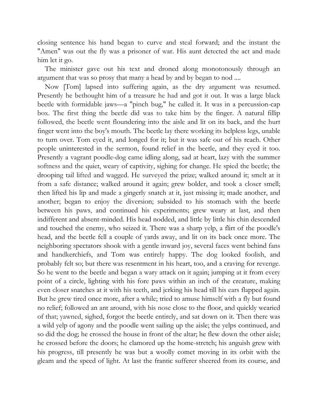closing sentence his hand began to curve and steal forward; and the instant the "Amen" was out the fly was a prisoner of war. His aunt detected the act and made him let it go.

The minister gave out his text and droned along monotonously through an argument that was so prosy that many a head by and by began to nod ....

Now [Tom] lapsed into suffering again, as the dry argument was resumed. Presently he bethought him of a treasure he had and got it out. It was a large black beetle with formidable jaws—a "pinch bug," he called it. It was in a percussion-cap box. The first thing the beetle did was to take him by the finger. A natural fillip followed, the beetle went floundering into the aisle and lit on its back, and the hurt finger went into the boy's mouth. The beetle lay there working its helpless legs, unable to turn over. Tom eyed it, and longed for it; but it was safe out of his reach. Other people uninterested in the sermon, found relief in the beetle, and they eyed it too. Presently a vagrant poodle-dog came idling along, sad at heart, lazy with the summer softness and the quiet, weary of captivity, sighing for change. He spied the beetle; the drooping tail lifted and wagged. He surveyed the prize; walked around it; smelt at it from a safe distance; walked around it again; grew bolder, and took a closer smell; then lifted his lip and made a gingerly snatch at it, just missing it; made another, and another; began to enjoy the diversion; subsided to his stomach with the beetle between his paws, and continued his experiments; grew weary at last, and then indifferent and absent-minded. His head nodded, and little by little his chin descended and touched the enemy, who seized it. There was a sharp yelp, a flirt of the poodle's head, and the beetle fell a couple of yards away, and lit on its back once more. The neighboring spectators shook with a gentle inward joy, several faces went behind fans and handkerchiefs, and Tom was entirely happy. The dog looked foolish, and probably felt so; but there was resentment in his heart, too, and a craving for revenge. So he went to the beetle and began a wary attack on it again; jumping at it from every point of a circle, lighting with his fore paws within an inch of the creature, making even closer snatches at it with his teeth, and jerking his head till his ears flapped again. But he grew tired once more, after a while; tried to amuse himself with a fly but found no relief; followed an ant around, with his nose close to the floor, and quickly wearied of that; yawned, sighed, forgot the beetle entirely, and sat down on it. Then there was a wild yelp of agony and the poodle went sailing up the aisle; the yelps continued, and so did the dog; he crossed the house in front of the altar; he flew down the other aisle; he crossed before the doors; he clamored up the home-stretch; his anguish grew with his progress, till presently he was but a woolly comet moving in its orbit with the gleam and the speed of light. At last the frantic sufferer sheered from its course, and